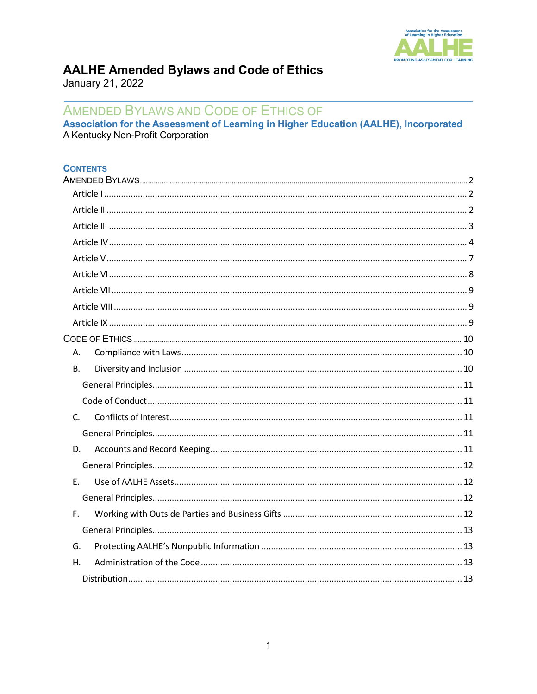

# **AALHE Amended Bylaws and Code of Ethics**

January 21, 2022

# AMENDED BYLAWS AND CODE OF ETHICS OF

Association for the Assessment of Learning in Higher Education (AALHE), Incorporated A Kentucky Non-Profit Corporation

#### **CONTENTS**

| А.          |  |
|-------------|--|
| <b>B.</b>   |  |
|             |  |
|             |  |
| $C_{\cdot}$ |  |
|             |  |
| D.          |  |
|             |  |
| E.          |  |
|             |  |
| F.          |  |
|             |  |
| G.          |  |
| Η.          |  |
|             |  |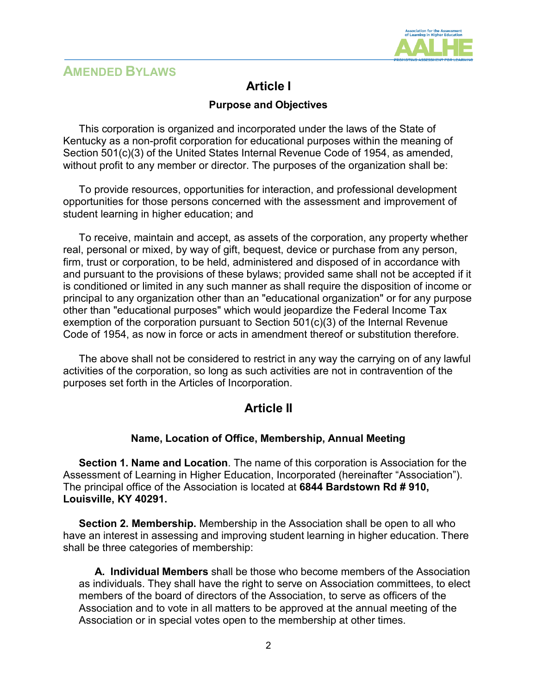

# <span id="page-1-0"></span>**AMENDED BYLAWS**

# **Article I**

### <span id="page-1-1"></span>**Purpose and Objectives**

This corporation is organized and incorporated under the laws of the State of Kentucky as a non-profit corporation for educational purposes within the meaning of Section 501(c)(3) of the United States Internal Revenue Code of 1954, as amended, without profit to any member or director. The purposes of the organization shall be:

To provide resources, opportunities for interaction, and professional development opportunities for those persons concerned with the assessment and improvement of student learning in higher education; and

To receive, maintain and accept, as assets of the corporation, any property whether real, personal or mixed, by way of gift, bequest, device or purchase from any person, firm, trust or corporation, to be held, administered and disposed of in accordance with and pursuant to the provisions of these bylaws; provided same shall not be accepted if it is conditioned or limited in any such manner as shall require the disposition of income or principal to any organization other than an "educational organization" or for any purpose other than "educational purposes" which would jeopardize the Federal Income Tax exemption of the corporation pursuant to Section 501(c)(3) of the Internal Revenue Code of 1954, as now in force or acts in amendment thereof or substitution therefore.

<span id="page-1-2"></span>The above shall not be considered to restrict in any way the carrying on of any lawful activities of the corporation, so long as such activities are not in contravention of the purposes set forth in the Articles of Incorporation.

## **Article II**

#### **Name, Location of Office, Membership, Annual Meeting**

**Section 1. Name and Location**. The name of this corporation is Association for the Assessment of Learning in Higher Education, Incorporated (hereinafter "Association"). The principal office of the Association is located at **6844 Bardstown Rd # 910, Louisville, KY 40291.**

**Section 2. Membership.** Membership in the Association shall be open to all who have an interest in assessing and improving student learning in higher education. There shall be three categories of membership:

**A. Individual Members** shall be those who become members of the Association as individuals. They shall have the right to serve on Association committees, to elect members of the board of directors of the Association, to serve as officers of the Association and to vote in all matters to be approved at the annual meeting of the Association or in special votes open to the membership at other times.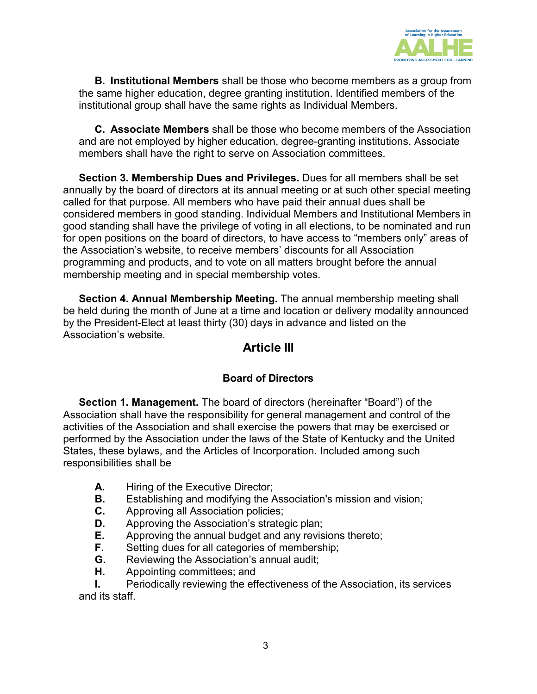

**B. Institutional Members** shall be those who become members as a group from the same higher education, degree granting institution. Identified members of the institutional group shall have the same rights as Individual Members.

**C. Associate Members** shall be those who become members of the Association and are not employed by higher education, degree-granting institutions. Associate members shall have the right to serve on Association committees.

**Section 3. Membership Dues and Privileges.** Dues for all members shall be set annually by the board of directors at its annual meeting or at such other special meeting called for that purpose. All members who have paid their annual dues shall be considered members in good standing. Individual Members and Institutional Members in good standing shall have the privilege of voting in all elections, to be nominated and run for open positions on the board of directors, to have access to "members only" areas of the Association's website, to receive members' discounts for all Association programming and products, and to vote on all matters brought before the annual membership meeting and in special membership votes.

<span id="page-2-0"></span>**Section 4. Annual Membership Meeting.** The annual membership meeting shall be held during the month of June at a time and location or delivery modality announced by the President-Elect at least thirty (30) days in advance and listed on the Association's website.

## **Article III**

## **Board of Directors**

**Section 1. Management.** The board of directors (hereinafter "Board") of the Association shall have the responsibility for general management and control of the activities of the Association and shall exercise the powers that may be exercised or performed by the Association under the laws of the State of Kentucky and the United States, these bylaws, and the Articles of Incorporation. Included among such responsibilities shall be

- **A.** Hiring of the Executive Director;
- **B.** Establishing and modifying the Association's mission and vision;
- **C.** Approving all Association policies;
- **D.** Approving the Association's strategic plan;<br>**E.** Approving the annual budget and any revis
- **E.** Approving the annual budget and any revisions thereto;
- **F.** Setting dues for all categories of membership;
- **G.** Reviewing the Association's annual audit;
- **H.** Appointing committees; and

**I.** Periodically reviewing the effectiveness of the Association, its services and its staff.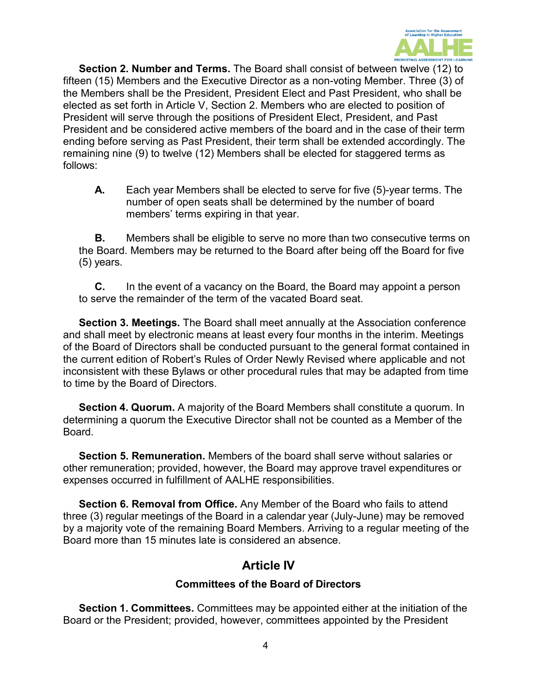

**Section 2. Number and Terms.** The Board shall consist of between twelve (12) to fifteen (15) Members and the Executive Director as a non-voting Member. Three (3) of the Members shall be the President, President Elect and Past President, who shall be elected as set forth in Article V, Section 2. Members who are elected to position of President will serve through the positions of President Elect, President, and Past President and be considered active members of the board and in the case of their term ending before serving as Past President, their term shall be extended accordingly. The remaining nine (9) to twelve (12) Members shall be elected for staggered terms as follows:

**A.** Each year Members shall be elected to serve for five (5)-year terms. The number of open seats shall be determined by the number of board members' terms expiring in that year.

**B.** Members shall be eligible to serve no more than two consecutive terms on the Board. Members may be returned to the Board after being off the Board for five (5) years.

**C.** In the event of a vacancy on the Board, the Board may appoint a person to serve the remainder of the term of the vacated Board seat.

**Section 3. Meetings.** The Board shall meet annually at the Association conference and shall meet by electronic means at least every four months in the interim. Meetings of the Board of Directors shall be conducted pursuant to the general format contained in the current edition of Robert's Rules of Order Newly Revised where applicable and not inconsistent with these Bylaws or other procedural rules that may be adapted from time to time by the Board of Directors.

**Section 4. Quorum.** A majority of the Board Members shall constitute a quorum. In determining a quorum the Executive Director shall not be counted as a Member of the Board.

**Section 5. Remuneration.** Members of the board shall serve without salaries or other remuneration; provided, however, the Board may approve travel expenditures or expenses occurred in fulfillment of AALHE responsibilities.

**Section 6. Removal from Office.** Any Member of the Board who fails to attend three (3) regular meetings of the Board in a calendar year (July-June) may be removed by a majority vote of the remaining Board Members. Arriving to a regular meeting of the Board more than 15 minutes late is considered an absence.

# **Article IV**

### **Committees of the Board of Directors**

<span id="page-3-0"></span>**Section 1. Committees.** Committees may be appointed either at the initiation of the Board or the President; provided, however, committees appointed by the President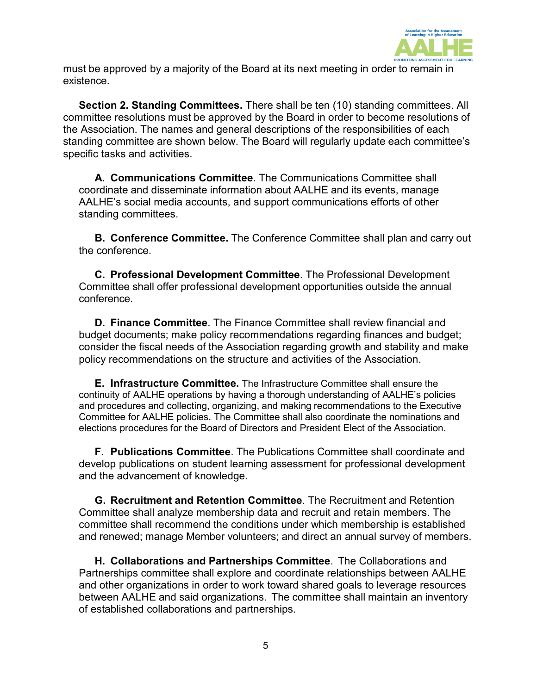

must be approved by a majority of the Board at its next meeting in order to remain in existence.

**Section 2. Standing Committees.** There shall be ten (10) standing committees. All committee resolutions must be approved by the Board in order to become resolutions of the Association. The names and general descriptions of the responsibilities of each standing committee are shown below. The Board will regularly update each committee's specific tasks and activities.

**A. Communications Committee**. The Communications Committee shall coordinate and disseminate information about AALHE and its events, manage AALHE's social media accounts, and support communications efforts of other standing committees.

**B. Conference Committee.** The Conference Committee shall plan and carry out the conference.

**C. Professional Development Committee**. The Professional Development Committee shall offer professional development opportunities outside the annual conference.

**D. Finance Committee**. The Finance Committee shall review financial and budget documents; make policy recommendations regarding finances and budget; consider the fiscal needs of the Association regarding growth and stability and make policy recommendations on the structure and activities of the Association.

**E. Infrastructure Committee.** The Infrastructure Committee shall ensure the continuity of AALHE operations by having a thorough understanding of AALHE's policies and procedures and collecting, organizing, and making recommendations to the Executive Committee for AALHE policies. The Committee shall also coordinate the nominations and elections procedures for the Board of Directors and President Elect of the Association.

**F. Publications Committee**. The Publications Committee shall coordinate and develop publications on student learning assessment for professional development and the advancement of knowledge.

**G. Recruitment and Retention Committee**. The Recruitment and Retention Committee shall analyze membership data and recruit and retain members. The committee shall recommend the conditions under which membership is established and renewed; manage Member volunteers; and direct an annual survey of members.

**H. Collaborations and Partnerships Committee**. The Collaborations and Partnerships committee shall explore and coordinate relationships between AALHE and other organizations in order to work toward shared goals to leverage resources between AALHE and said organizations. The committee shall maintain an inventory of established collaborations and partnerships.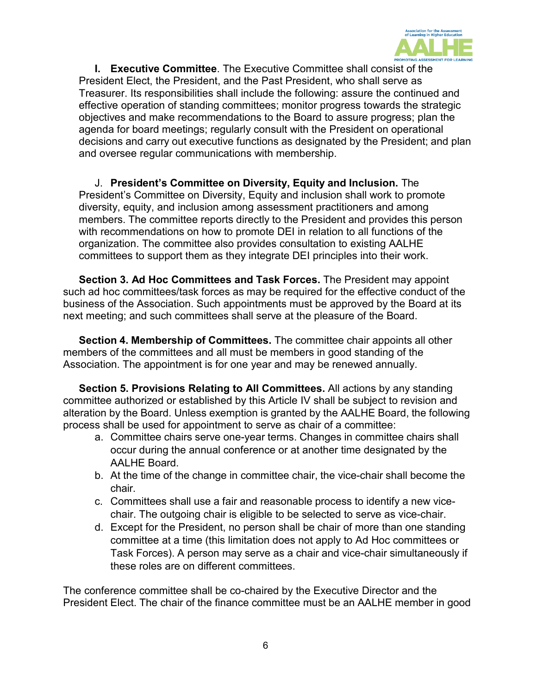

**I. Executive Committee**. The Executive Committee shall consist of the President Elect, the President, and the Past President, who shall serve as Treasurer. Its responsibilities shall include the following: assure the continued and effective operation of standing committees; monitor progress towards the strategic objectives and make recommendations to the Board to assure progress; plan the agenda for board meetings; regularly consult with the President on operational decisions and carry out executive functions as designated by the President; and plan and oversee regular communications with membership.

J. **President's Committee on Diversity, Equity and Inclusion.** The President's Committee on Diversity, Equity and inclusion shall work to promote diversity, equity, and inclusion among assessment practitioners and among members. The committee reports directly to the President and provides this person with recommendations on how to promote DEI in relation to all functions of the organization. The committee also provides consultation to existing AALHE committees to support them as they integrate DEI principles into their work.

**Section 3. Ad Hoc Committees and Task Forces.** The President may appoint such ad hoc committees/task forces as may be required for the effective conduct of the business of the Association. Such appointments must be approved by the Board at its next meeting; and such committees shall serve at the pleasure of the Board.

**Section 4. Membership of Committees.** The committee chair appoints all other members of the committees and all must be members in good standing of the Association. The appointment is for one year and may be renewed annually.

**Section 5. Provisions Relating to All Committees.** All actions by any standing committee authorized or established by this Article IV shall be subject to revision and alteration by the Board. Unless exemption is granted by the AALHE Board, the following process shall be used for appointment to serve as chair of a committee:

- a. Committee chairs serve one-year terms. Changes in committee chairs shall occur during the annual conference or at another time designated by the AALHE Board.
- b. At the time of the change in committee chair, the vice-chair shall become the chair.
- c. Committees shall use a fair and reasonable process to identify a new vicechair. The outgoing chair is eligible to be selected to serve as vice-chair.
- d. Except for the President, no person shall be chair of more than one standing committee at a time (this limitation does not apply to Ad Hoc committees or Task Forces). A person may serve as a chair and vice-chair simultaneously if these roles are on different committees.

The conference committee shall be co-chaired by the Executive Director and the President Elect. The chair of the finance committee must be an AALHE member in good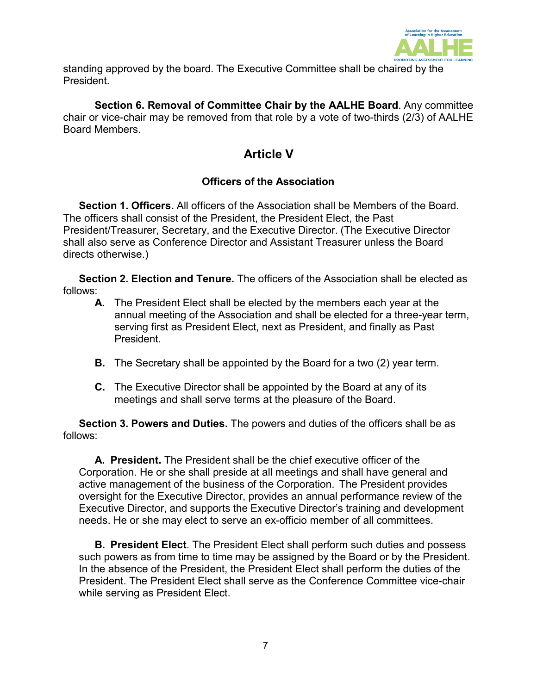

standing approved by the board. The Executive Committee shall be chaired by the President.

<span id="page-6-0"></span>**Section 6. Removal of Committee Chair by the AALHE Board**. Any committee chair or vice-chair may be removed from that role by a vote of two-thirds (2/3) of AALHE Board Members.

# **Article V**

## **Officers of the Association**

**Section 1. Officers.** All officers of the Association shall be Members of the Board. The officers shall consist of the President, the President Elect, the Past President/Treasurer, Secretary, and the Executive Director. (The Executive Director shall also serve as Conference Director and Assistant Treasurer unless the Board directs otherwise.)

**Section 2. Election and Tenure.** The officers of the Association shall be elected as follows:

- **A.** The President Elect shall be elected by the members each year at the annual meeting of the Association and shall be elected for a three-year term, serving first as President Elect, next as President, and finally as Past **President**
- **B.** The Secretary shall be appointed by the Board for a two (2) year term.
- **C.** The Executive Director shall be appointed by the Board at any of its meetings and shall serve terms at the pleasure of the Board.

**Section 3. Powers and Duties.** The powers and duties of the officers shall be as follows:

**A. President.** The President shall be the chief executive officer of the Corporation. He or she shall preside at all meetings and shall have general and active management of the business of the Corporation. The President provides oversight for the Executive Director, provides an annual performance review of the Executive Director, and supports the Executive Director's training and development needs. He or she may elect to serve an ex-officio member of all committees.

**B. President Elect**. The President Elect shall perform such duties and possess such powers as from time to time may be assigned by the Board or by the President. In the absence of the President, the President Elect shall perform the duties of the President. The President Elect shall serve as the Conference Committee vice-chair while serving as President Elect.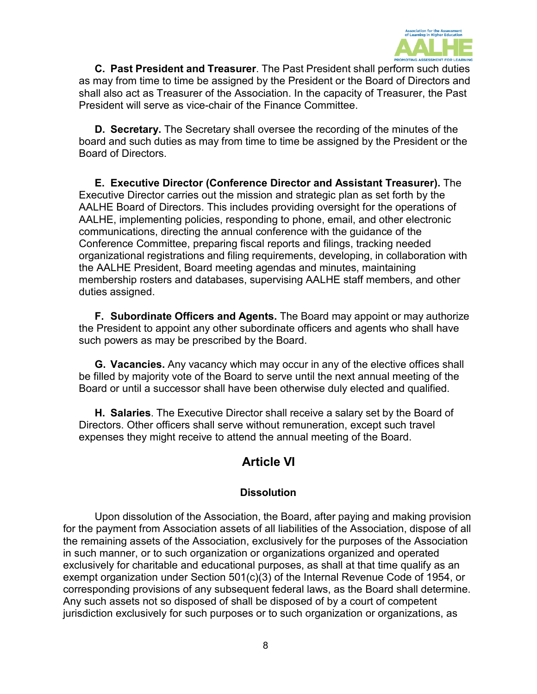

**C. Past President and Treasurer**. The Past President shall perform such duties as may from time to time be assigned by the President or the Board of Directors and shall also act as Treasurer of the Association. In the capacity of Treasurer, the Past President will serve as vice-chair of the Finance Committee.

**D. Secretary.** The Secretary shall oversee the recording of the minutes of the board and such duties as may from time to time be assigned by the President or the Board of Directors.

**E. Executive Director (Conference Director and Assistant Treasurer).** The Executive Director carries out the mission and strategic plan as set forth by the AALHE Board of Directors. This includes providing oversight for the operations of AALHE, implementing policies, responding to phone, email, and other electronic communications, directing the annual conference with the guidance of the Conference Committee, preparing fiscal reports and filings, tracking needed organizational registrations and filing requirements, developing, in collaboration with the AALHE President, Board meeting agendas and minutes, maintaining membership rosters and databases, supervising AALHE staff members, and other duties assigned.

**F. Subordinate Officers and Agents.** The Board may appoint or may authorize the President to appoint any other subordinate officers and agents who shall have such powers as may be prescribed by the Board.

**G. Vacancies.** Any vacancy which may occur in any of the elective offices shall be filled by majority vote of the Board to serve until the next annual meeting of the Board or until a successor shall have been otherwise duly elected and qualified.

<span id="page-7-0"></span>**H. Salaries**. The Executive Director shall receive a salary set by the Board of Directors. Other officers shall serve without remuneration, except such travel expenses they might receive to attend the annual meeting of the Board.

# **Article VI**

### **Dissolution**

Upon dissolution of the Association, the Board, after paying and making provision for the payment from Association assets of all liabilities of the Association, dispose of all the remaining assets of the Association, exclusively for the purposes of the Association in such manner, or to such organization or organizations organized and operated exclusively for charitable and educational purposes, as shall at that time qualify as an exempt organization under Section 501(c)(3) of the Internal Revenue Code of 1954, or corresponding provisions of any subsequent federal laws, as the Board shall determine. Any such assets not so disposed of shall be disposed of by a court of competent jurisdiction exclusively for such purposes or to such organization or organizations, as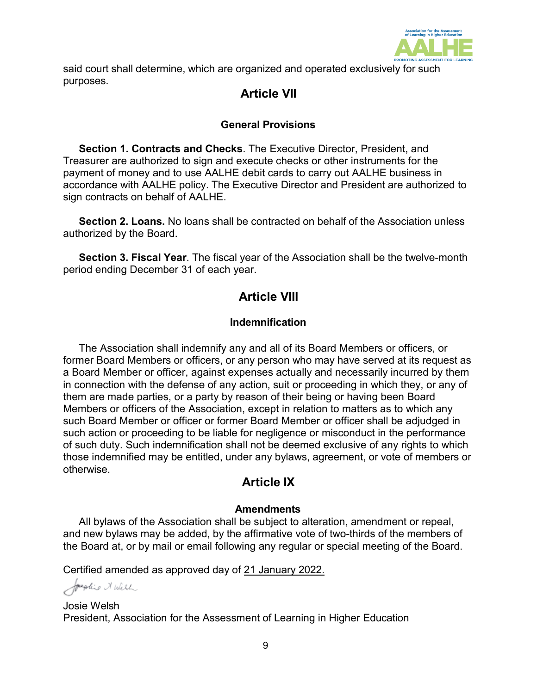

<span id="page-8-0"></span>said court shall determine, which are organized and operated exclusively for such purposes.

# **Article VII**

## **General Provisions**

**Section 1. Contracts and Checks**. The Executive Director, President, and Treasurer are authorized to sign and execute checks or other instruments for the payment of money and to use AALHE debit cards to carry out AALHE business in accordance with AALHE policy. The Executive Director and President are authorized to sign contracts on behalf of AALHE.

**Section 2. Loans.** No loans shall be contracted on behalf of the Association unless authorized by the Board.

<span id="page-8-1"></span>**Section 3. Fiscal Year**. The fiscal year of the Association shall be the twelve-month period ending December 31 of each year.

# **Article VIII**

### **Indemnification**

The Association shall indemnify any and all of its Board Members or officers, or former Board Members or officers, or any person who may have served at its request as a Board Member or officer, against expenses actually and necessarily incurred by them in connection with the defense of any action, suit or proceeding in which they, or any of them are made parties, or a party by reason of their being or having been Board Members or officers of the Association, except in relation to matters as to which any such Board Member or officer or former Board Member or officer shall be adjudged in such action or proceeding to be liable for negligence or misconduct in the performance of such duty. Such indemnification shall not be deemed exclusive of any rights to which those indemnified may be entitled, under any bylaws, agreement, or vote of members or otherwise.

## **Article IX**

### **Amendments**

<span id="page-8-2"></span>All bylaws of the Association shall be subject to alteration, amendment or repeal, and new bylaws may be added, by the affirmative vote of two-thirds of the members of the Board at, or by mail or email following any regular or special meeting of the Board.

Certified amended as approved day of 21 January 2022.

Josephine & West

Josie Welsh President, Association for the Assessment of Learning in Higher Education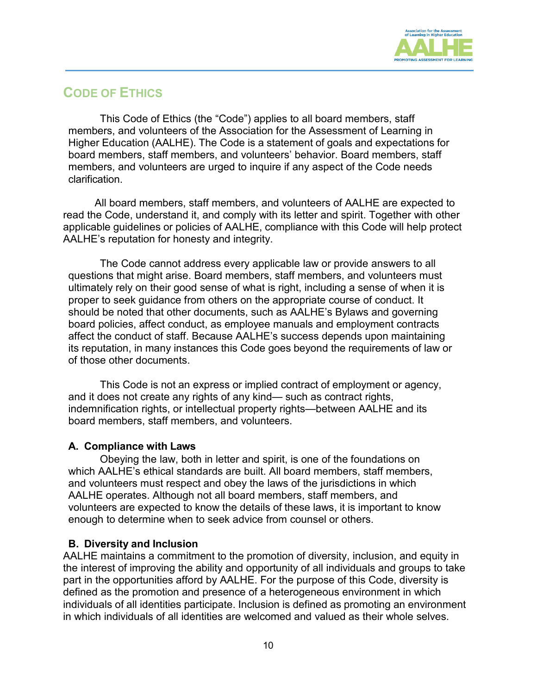

# <span id="page-9-0"></span>**CODE OF ETHICS**

This Code of Ethics (the "Code") applies to all board members, staff members, and volunteers of the Association for the Assessment of Learning in Higher Education (AALHE). The Code is a statement of goals and expectations for board members, staff members, and volunteers' behavior. Board members, staff members, and volunteers are urged to inquire if any aspect of the Code needs clarification.

All board members, staff members, and volunteers of AALHE are expected to read the Code, understand it, and comply with its letter and spirit. Together with other applicable guidelines or policies of AALHE, compliance with this Code will help protect AALHE's reputation for honesty and integrity.

The Code cannot address every applicable law or provide answers to all questions that might arise. Board members, staff members, and volunteers must ultimately rely on their good sense of what is right, including a sense of when it is proper to seek guidance from others on the appropriate course of conduct. It should be noted that other documents, such as AALHE's Bylaws and governing board policies, affect conduct, as employee manuals and employment contracts affect the conduct of staff. Because AALHE's success depends upon maintaining its reputation, in many instances this Code goes beyond the requirements of law or of those other documents.

This Code is not an express or implied contract of employment or agency, and it does not create any rights of any kind— such as contract rights, indemnification rights, or intellectual property rights—between AALHE and its board members, staff members, and volunteers.

#### <span id="page-9-1"></span>**A. Compliance with Laws**

Obeying the law, both in letter and spirit, is one of the foundations on which AALHE's ethical standards are built. All board members, staff members, and volunteers must respect and obey the laws of the jurisdictions in which AALHE operates. Although not all board members, staff members, and volunteers are expected to know the details of these laws, it is important to know enough to determine when to seek advice from counsel or others.

#### <span id="page-9-2"></span>**B. Diversity and Inclusion**

AALHE maintains a commitment to the promotion of diversity, inclusion, and equity in the interest of improving the ability and opportunity of all individuals and groups to take part in the opportunities afford by AALHE. For the purpose of this Code, diversity is defined as the promotion and presence of a heterogeneous environment in which individuals of all identities participate. Inclusion is defined as promoting an environment in which individuals of all identities are welcomed and valued as their whole selves.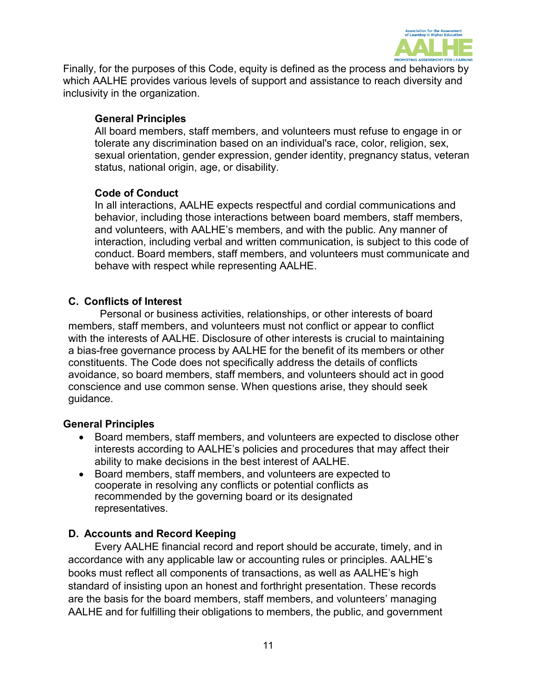

Finally, for the purposes of this Code, equity is defined as the process and behaviors by which AALHE provides various levels of support and assistance to reach diversity and inclusivity in the organization.

### <span id="page-10-0"></span>**General Principles**

All board members, staff members, and volunteers must refuse to engage in or tolerate any discrimination based on an individual's race, color, religion, sex, sexual orientation, gender expression, gender identity, pregnancy status, veteran status, national origin, age, or disability.

### <span id="page-10-1"></span>**Code of Conduct**

In all interactions, AALHE expects respectful and cordial communications and behavior, including those interactions between board members, staff members, and volunteers, with AALHE's members, and with the public. Any manner of interaction, including verbal and written communication, is subject to this code of conduct. Board members, staff members, and volunteers must communicate and behave with respect while representing AALHE.

### <span id="page-10-2"></span>**C. Conflicts of Interest**

Personal or business activities, relationships, or other interests of board members, staff members, and volunteers must not conflict or appear to conflict with the interests of AALHE. Disclosure of other interests is crucial to maintaining a bias-free governance process by AALHE for the benefit of its members or other constituents. The Code does not specifically address the details of conflicts avoidance, so board members, staff members, and volunteers should act in good conscience and use common sense. When questions arise, they should seek guidance.

#### <span id="page-10-3"></span>**General Principles**

- Board members, staff members, and volunteers are expected to disclose other interests according to AALHE's policies and procedures that may affect their ability to make decisions in the best interest of AALHE.
- Board members, staff members, and volunteers are expected to cooperate in resolving any conflicts or potential conflicts as recommended by the governing board or its designated representatives.

### <span id="page-10-4"></span>**D. Accounts and Record Keeping**

Every AALHE financial record and report should be accurate, timely, and in accordance with any applicable law or accounting rules or principles. AALHE's books must reflect all components of transactions, as well as AALHE's high standard of insisting upon an honest and forthright presentation. These records are the basis for the board members, staff members, and volunteers' managing AALHE and for fulfilling their obligations to members, the public, and government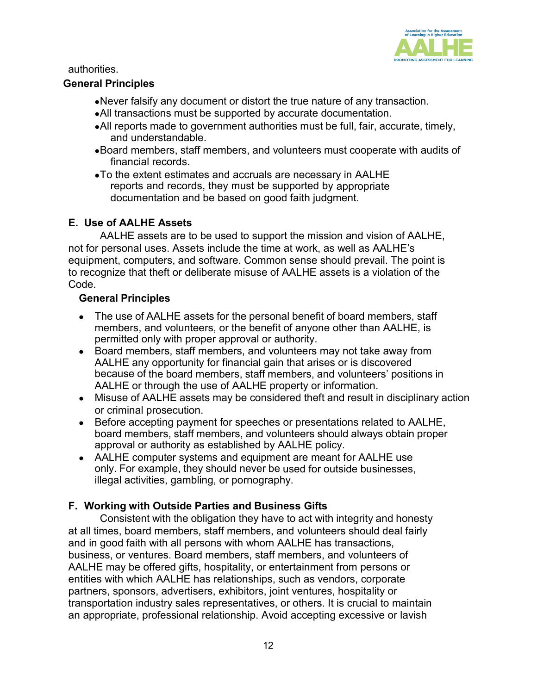

authorities.

### <span id="page-11-0"></span>**General Principles**

- •Never falsify any document or distort the true nature of any transaction.
- •All transactions must be supported by accurate documentation.
- •All reports made to government authorities must be full, fair, accurate, timely, and understandable.
- •Board members, staff members, and volunteers must cooperate with audits of financial records.
- •To the extent estimates and accruals are necessary in AALHE reports and records, they must be supported by appropriate documentation and be based on good faith judgment.

### <span id="page-11-1"></span>**E. Use of AALHE Assets**

AALHE assets are to be used to support the mission and vision of AALHE, not for personal uses. Assets include the time at work, as well as AALHE's equipment, computers, and software. Common sense should prevail. The point is to recognize that theft or deliberate misuse of AALHE assets is a violation of the Code.

### <span id="page-11-2"></span>**General Principles**

- The use of AALHE assets for the personal benefit of board members, staff members, and volunteers, or the benefit of anyone other than AALHE, is permitted only with proper approval or authority.
- Board members, staff members, and volunteers may not take away from AALHE any opportunity for financial gain that arises or is discovered because of the board members, staff members, and volunteers' positions in AALHE or through the use of AALHE property or information.
- Misuse of AALHE assets may be considered theft and result in disciplinary action or criminal prosecution.
- Before accepting payment for speeches or presentations related to AALHE, board members, staff members, and volunteers should always obtain proper approval or authority as established by AALHE policy.
- AALHE computer systems and equipment are meant for AALHE use only. For example, they should never be used for outside businesses, illegal activities, gambling, or pornography.

## <span id="page-11-3"></span>**F. Working with Outside Parties and Business Gifts**

Consistent with the obligation they have to act with integrity and honesty at all times, board members, staff members, and volunteers should deal fairly and in good faith with all persons with whom AALHE has transactions, business, or ventures. Board members, staff members, and volunteers of AALHE may be offered gifts, hospitality, or entertainment from persons or entities with which AALHE has relationships, such as vendors, corporate partners, sponsors, advertisers, exhibitors, joint ventures, hospitality or transportation industry sales representatives, or others. It is crucial to maintain an appropriate, professional relationship. Avoid accepting excessive or lavish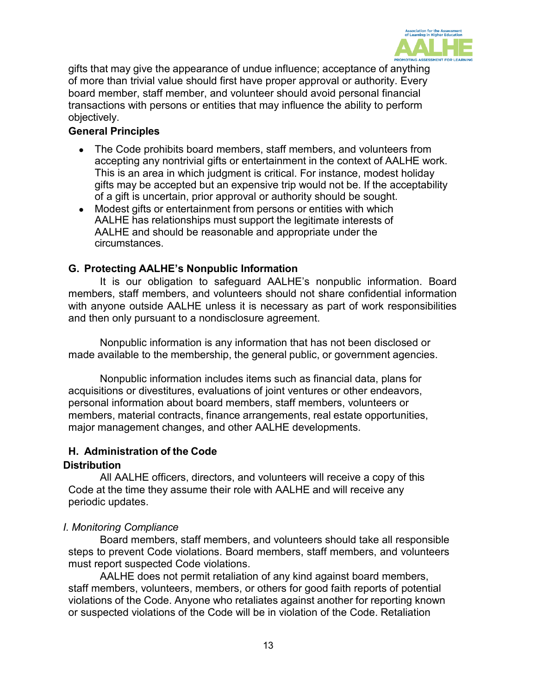

gifts that may give the appearance of undue influence; acceptance of anything of more than trivial value should first have proper approval or authority. Every board member, staff member, and volunteer should avoid personal financial transactions with persons or entities that may influence the ability to perform objectively.

### <span id="page-12-0"></span>**General Principles**

- The Code prohibits board members, staff members, and volunteers from accepting any nontrivial gifts or entertainment in the context of AALHE work. This is an area in which judgment is critical. For instance, modest holiday gifts may be accepted but an expensive trip would not be. If the acceptability of a gift is uncertain, prior approval or authority should be sought.
- Modest gifts or entertainment from persons or entities with which AALHE has relationships must support the legitimate interests of AALHE and should be reasonable and appropriate under the circumstances.

### <span id="page-12-1"></span>**G. Protecting AALHE's Nonpublic Information**

It is our obligation to safeguard AALHE's nonpublic information. Board members, staff members, and volunteers should not share confidential information with anyone outside AALHE unless it is necessary as part of work responsibilities and then only pursuant to a nondisclosure agreement.

Nonpublic information is any information that has not been disclosed or made available to the membership, the general public, or government agencies.

Nonpublic information includes items such as financial data, plans for acquisitions or divestitures, evaluations of joint ventures or other endeavors, personal information about board members, staff members, volunteers or members, material contracts, finance arrangements, real estate opportunities, major management changes, and other AALHE developments.

#### <span id="page-12-2"></span>**H. Administration of the Code**

#### <span id="page-12-3"></span>**Distribution**

All AALHE officers, directors, and volunteers will receive a copy of this Code at the time they assume their role with AALHE and will receive any periodic updates.

#### *I. Monitoring Compliance*

Board members, staff members, and volunteers should take all responsible steps to prevent Code violations. Board members, staff members, and volunteers must report suspected Code violations.

AALHE does not permit retaliation of any kind against board members, staff members, volunteers, members, or others for good faith reports of potential violations of the Code. Anyone who retaliates against another for reporting known or suspected violations of the Code will be in violation of the Code. Retaliation